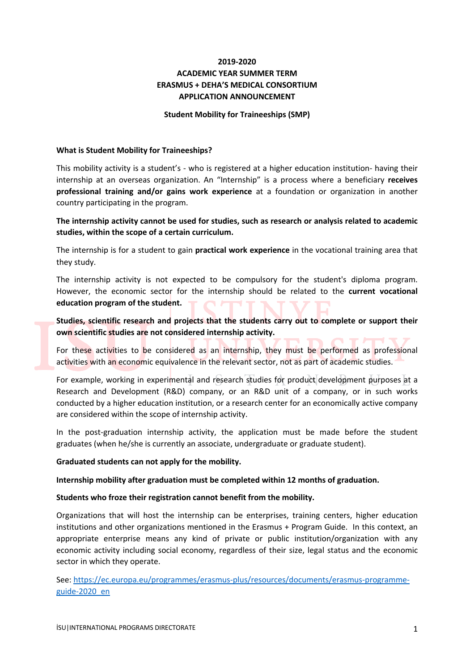# **2019-2020 ACADEMIC YEAR SUMMER TERM ERASMUS + DEHA'S MEDICAL CONSORTIUM APPLICATION ANNOUNCEMENT**

#### **Student Mobility for Traineeships (SMP)**

#### **What is Student Mobility for Traineeships?**

This mobility activity is a student's - who is registered at a higher education institution- having their internship at an overseas organization. An "Internship" is a process where a beneficiary **receives professional training and/or gains work experience** at a foundation or organization in another country participating in the program.

**The internship activity cannot be used for studies, such as research or analysis related to academic studies, within the scope of a certain curriculum.** 

The internship is for a student to gain **practical work experience** in the vocational training area that they study.

The internship activity is not expected to be compulsory for the student's diploma program. However, the economic sector for the internship should be related to the **current vocational education program of the student.**

**Studies, scientific research and projects that the students carry out to complete or support their own scientific studies are not considered internship activity.**

For these activities to be considered as an internship, they must be performed as professional activities with an economic equivalence in the relevant sector, not as part of academic studies.

For example, working in experimental and research studies for product development purposes at a Research and Development (R&D) company, or an R&D unit of a company, or in such works conducted by a higher education institution, or a research center for an economically active company are considered within the scope of internship activity.

In the post-graduation internship activity, the application must be made before the student graduates (when he/she is currently an associate, undergraduate or graduate student).

#### **Graduated students can not apply for the mobility.**

**Internship mobility after graduation must be completed within 12 months of graduation.**

#### **Students who froze their registration cannot benefit from the mobility.**

Organizations that will host the internship can be enterprises, training centers, higher education institutions and other organizations mentioned in the Erasmus + Program Guide. In this context, an appropriate enterprise means any kind of private or public institution/organization with any economic activity including social economy, regardless of their size, legal status and the economic sector in which they operate.

See: https://ec.europa.eu/programmes/erasmus-plus/resources/documents/erasmus-programmeguide-2020\_en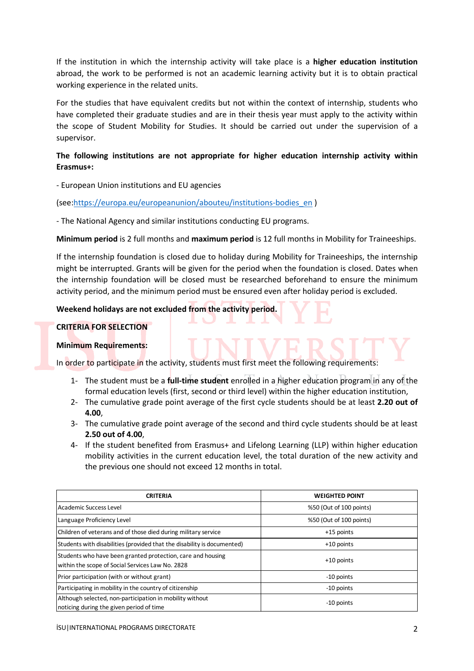If the institution in which the internship activity will take place is a **higher education institution** abroad, the work to be performed is not an academic learning activity but it is to obtain practical working experience in the related units.

For the studies that have equivalent credits but not within the context of internship, students who have completed their graduate studies and are in their thesis year must apply to the activity within the scope of Student Mobility for Studies. It should be carried out under the supervision of a supervisor.

# **The following institutions are not appropriate for higher education internship activity within Erasmus+:**

- European Union institutions and EU agencies

(see:https://europa.eu/europeanunion/abouteu/institutions-bodies\_en )

- The National Agency and similar institutions conducting EU programs.

**Minimum period** is 2 full months and **maximum period** is 12 full months in Mobility for Traineeships.

If the internship foundation is closed due to holiday during Mobility for Traineeships, the internship might be interrupted. Grants will be given for the period when the foundation is closed. Dates when the internship foundation will be closed must be researched beforehand to ensure the minimum activity period, and the minimum period must be ensured even after holiday period is excluded.

# **Weekend holidays are not excluded from the activity period.**

# **CRITERIA FOR SELECTION**

# **Minimum Requirements:**

In order to participate in the activity, students must first meet the following requirements:

- 1- The student must be a **full-time student** enrolled in a higher education program in any of the formal education levels (first, second or third level) within the higher education institution,
- 2- The cumulative grade point average of the first cycle students should be at least **2.20 out of 4.00**,
- 3- The cumulative grade point average of the second and third cycle students should be at least **2.50 out of 4.00**,
- 4- If the student benefited from Erasmus+ and Lifelong Learning (LLP) within higher education mobility activities in the current education level, the total duration of the new activity and the previous one should not exceed 12 months in total.

| <b>CRITERIA</b>                                                                                                 | <b>WEIGHTED POINT</b>   |  |  |
|-----------------------------------------------------------------------------------------------------------------|-------------------------|--|--|
| Academic Success Level                                                                                          | %50 (Out of 100 points) |  |  |
| Language Proficiency Level                                                                                      | %50 (Out of 100 points) |  |  |
| Children of veterans and of those died during military service                                                  | +15 points              |  |  |
| Students with disabilities (provided that the disability is documented)                                         | $+10$ points            |  |  |
| Students who have been granted protection, care and housing<br>within the scope of Social Services Law No. 2828 | $+10$ points            |  |  |
| Prior participation (with or without grant)                                                                     | -10 points              |  |  |
| Participating in mobility in the country of citizenship                                                         | -10 points              |  |  |
| Although selected, non-participation in mobility without<br>noticing during the given period of time            | -10 points              |  |  |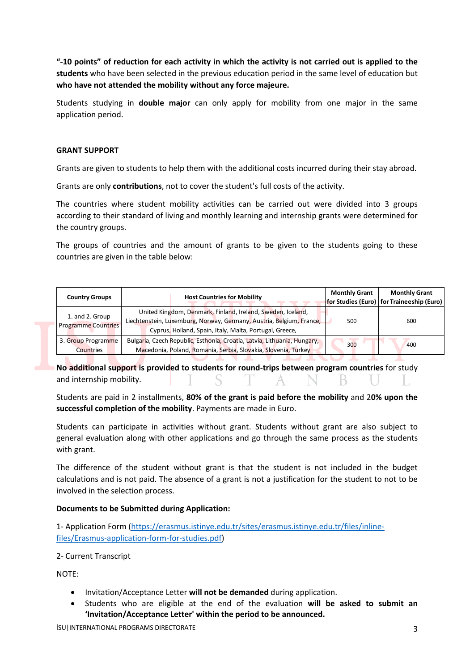**"-10 points" of reduction for each activity in which the activity is not carried out is applied to the students** who have been selected in the previous education period in the same level of education but **who have not attended the mobility without any force majeure.**

Students studying in **double major** can only apply for mobility from one major in the same application period.

### **GRANT SUPPORT**

Grants are given to students to help them with the additional costs incurred during their stay abroad.

Grants are only **contributions**, not to cover the student's full costs of the activity.

The countries where student mobility activities can be carried out were divided into 3 groups according to their standard of living and monthly learning and internship grants were determined for the country groups.

The groups of countries and the amount of grants to be given to the students going to these countries are given in the table below:

| <b>Country Groups</b>                         | <b>Host Countries for Mobility</b>                                                                                                                                                             | <b>Monthly Grant</b> | <b>Monthly Grant</b><br>for Studies (Euro)   for Traineeship (Euro) |
|-----------------------------------------------|------------------------------------------------------------------------------------------------------------------------------------------------------------------------------------------------|----------------------|---------------------------------------------------------------------|
| 1. and 2. Group<br><b>Programme Countries</b> | United Kingdom, Denmark, Finland, Ireland, Sweden, Iceland,<br>Liechtenstein, Luxemburg, Norway, Germany, Austria, Belgium, France,<br>Cyprus, Holland, Spain, Italy, Malta, Portugal, Greece, | 500                  | 600                                                                 |
| 3. Group Programme<br>Countries               | Bulgaria, Czech Republic, Esthonia, Croatia, Latvia, Lithuania, Hungary,<br>Macedonia, Poland, Romania, Serbia, Slovakia, Slovenia, Turkey                                                     | 300                  | 400                                                                 |

**No additional support is provided to students for round-trips between program countries** for study and internship mobility.

Students are paid in 2 installments, **80% of the grant is paid before the mobility** and 2**0% upon the successful completion of the mobility**. Payments are made in Euro.

Students can participate in activities without grant. Students without grant are also subject to general evaluation along with other applications and go through the same process as the students with grant.

The difference of the student without grant is that the student is not included in the budget calculations and is not paid. The absence of a grant is not a justification for the student to not to be involved in the selection process.

# **Documents to be Submitted during Application:**

1- Application Form (https://erasmus.istinye.edu.tr/sites/erasmus.istinye.edu.tr/files/inlinefiles/Erasmus-application-form-for-studies.pdf)

2- Current Transcript

NOTE:

- Invitation/Acceptance Letter **will not be demanded** during application.
- Students who are eligible at the end of the evaluation **will be asked to submit an 'Invitation/Acceptance Letter' within the period to be announced.**

İSU|INTERNATIONAL PROGRAMS DIRECTORATE 3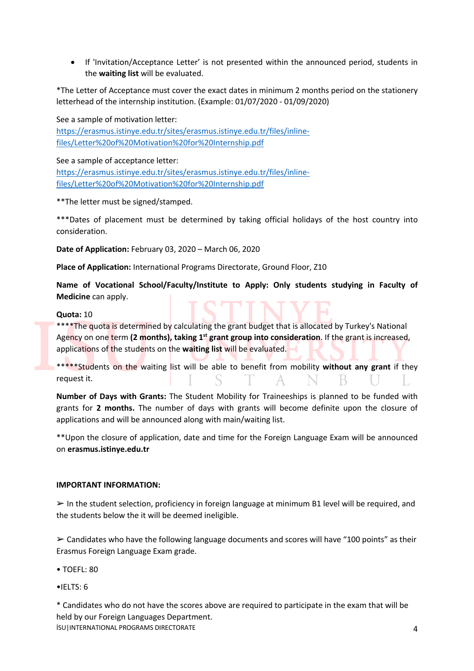• If 'Invitation/Acceptance Letter' is not presented within the announced period, students in the **waiting list** will be evaluated.

\*The Letter of Acceptance must cover the exact dates in minimum 2 months period on the stationery letterhead of the internship institution. (Example: 01/07/2020 - 01/09/2020)

See a sample of motivation letter: https://erasmus.istinye.edu.tr/sites/erasmus.istinye.edu.tr/files/inlinefiles/Letter%20of%20Motivation%20for%20Internship.pdf

See a sample of acceptance letter:

https://erasmus.istinye.edu.tr/sites/erasmus.istinye.edu.tr/files/inlinefiles/Letter%20of%20Motivation%20for%20Internship.pdf

\*\*The letter must be signed/stamped.

\*\*\*Dates of placement must be determined by taking official holidays of the host country into consideration.

**Date of Application:** February 03, 2020 – March 06, 2020

**Place of Application:** International Programs Directorate, Ground Floor, Z10

**Name of Vocational School/Faculty/Institute to Apply: Only students studying in Faculty of Medicine** can apply.

### **Quota:** 10

\*\*\*\*The quota is determined by calculating the grant budget that is allocated by Turkey's National Agency on one term (2 months), taking 1<sup>st</sup> grant group into consideration. If the grant is increased, applications of the students on the **waiting list** will be evaluated.

\*\*\*\*\*Students on the waiting list will be able to benefit from mobility **without any grant** if they request it.

**Number of Days with Grants:** The Student Mobility for Traineeships is planned to be funded with grants for **2 months.** The number of days with grants will become definite upon the closure of applications and will be announced along with main/waiting list.

\*\*Upon the closure of application, date and time for the Foreign Language Exam will be announced on **erasmus.istinye.edu.tr**

### **IMPORTANT INFORMATION:**

 $\triangleright$  In the student selection, proficiency in foreign language at minimum B1 level will be required, and the students below the it will be deemed ineligible.

 $\geq$  Candidates who have the following language documents and scores will have "100 points" as their Erasmus Foreign Language Exam grade.

- TOEFL: 80
- $\bullet$ IELTS: 6

İSU|INTERNATIONAL PROGRAMS DIRECTORATE 4 \* Candidates who do not have the scores above are required to participate in the exam that will be held by our Foreign Languages Department.